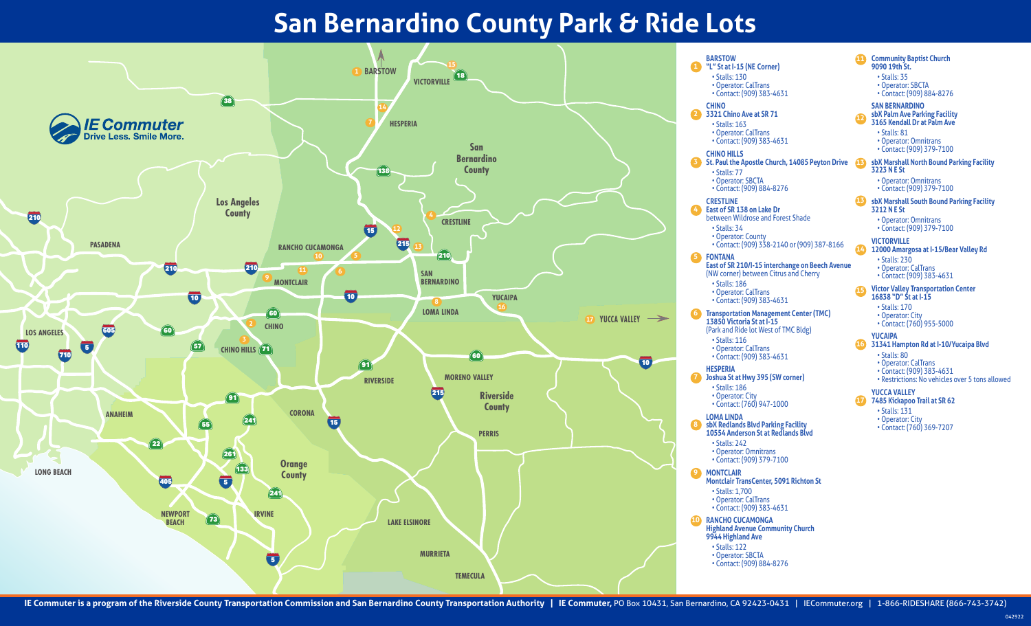## **San Bernardino County Park & Ride Lots**



**FONTANA East of SR 210/I-15 interchange on Beech Avenue D** Joshua St at Hwy 395 (SW corner) 62 **Transportation Management Center (TMC) BARSTOW "L" St at I-15 (NE Corner) 1** • Stalls: 130 • Operator: CalTrans • Contact: (909) 383-4631 **CHINO 3321 Chino Ave at SR 71 2** • Stalls: 163 • Operator: CalTrans • Contact: (909) 383-4631 **CHINO HILLS St. Paul the Apostle Church, 14085 Peyton Drive 13 3** • Stalls: 77 • Operator: SBCTA • Contact: (909) 884-8276 **CRESTLINE East of SR 138 on Lake Dr**  between Wildrose and Forest Shade • Stalls: 34 • Operator: County • Contact: (909) 338-2140 or (909) 387-8166 (NW corner) between Citrus and Cherry • Stalls: 186 • Operator: CalTrans • Contact: (909) 383-4631 **13850 Victoria St at I-15** (Park and Ride lot West of TMC Bldg) • Stalls: 116 • Operator: CalTrans • Contact: (909) 383-4631 **HESPERIA** • Stalls: 186 • Operator: City • Contact: (760) 947-1000 **LOMA LINDA sbX Redlands Blvd Parking Facility 10554 Anderson St at Redlands Blvd** • Stalls: 242 • Operator: Omnitrans • Contact: (909) 379-7100 **MONTCLAIR Montclair TransCenter, 5091 Richton St** • Stalls: 1,700 • Operator: CalTrans • Contact: (909) 383-4631 **RANCHO CUCAMONGA Highland Avenue Community Church 9944 Highland Ave** • Stalls: 122 • Operator: SBCTA • Contact: (909) 884-8276 **Community Baptist Church 9090 19th St.** • Stalls: 35 • Operator: SBCTA • Contact: (909) 884-8276 **SAN BERNARDINO sbX Palm Ave Parking Facility 3165 Kendall Dr at Palm Ave** • Stalls: 81 • Operator: Omnitrans • Contact: (909) 379-7100 **sbX Marshall North Bound Parking Facility 3223 N E St** • Operator: Omnitrans • Contact: (909) 379-7100 **sbX Marshall South Bound Parking Facility 3212 N E St** • Operator: Omnitrans • Contact: (909) 379-7100 **VICTORVILLE 12000 Amargosa at I-15/Bear Valley Rd** • Stalls: 230 • Operator: CalTrans • Contact: (909) 383-4631 **Victor Valley Transportation Center 16838 "D" St at I-15** • Stalls: 170 • Operator: City • Contact: (760) 955-5000 **YUCAIPA 31341 Hampton Rd at I-10/Yucaipa Blvd 16** • Stalls: 80 • Operator: CalTrans • Contact: (909) 383-4631 • Restrictions: No vehicles over 5 tons allowed **YUCCA VALLEY 7485 Kickapoo Trail at SR 62** • Stalls: 131 • Operator: City • Contact: (760) 369-7207 **11 12 13 14 15 17**